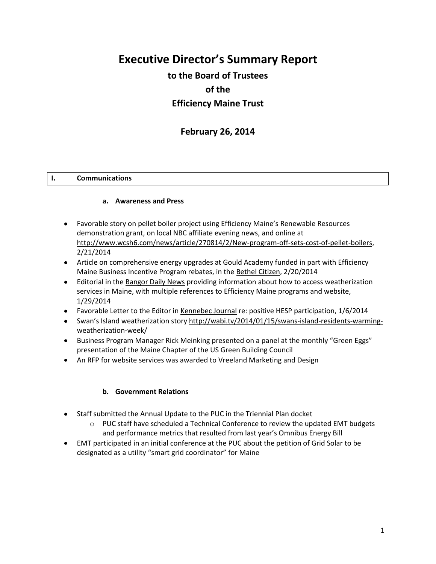# **Executive Director's Summary Report**

## **to the Board of Trustees of the Efficiency Maine Trust**

## **February 26, 2014**

#### **I. Communications**

#### **a. Awareness and Press**

- Favorable story on pellet boiler project using Efficiency Maine's Renewable Resources demonstration grant, on local NBC affiliate evening news, and online at [http://www.wcsh6.com/news/article/270814/2/New-program-off-sets-cost-of-pellet-boilers,](http://www.wcsh6.com/news/article/270814/2/New-program-off-sets-cost-of-pellet-boilers) 2/21/2014
- Article on comprehensive energy upgrades at Gould Academy funded in part with Efficiency Maine Business Incentive Program rebates, in the Bethel Citizen, 2/20/2014
- Editorial in the Bangor Daily News providing information about how to access weatherization services in Maine, with multiple references to Efficiency Maine programs and website, 1/29/2014
- Favorable Letter to the Editor in Kennebec Journal re: positive HESP participation, 1/6/2014
- Swan's Island weatherization story [http://wabi.tv/2014/01/15/swans-island-residents-warming](http://wabi.tv/2014/01/15/swans-island-residents-warming-weatherization-week/)[weatherization-week/](http://wabi.tv/2014/01/15/swans-island-residents-warming-weatherization-week/)
- Business Program Manager Rick Meinking presented on a panel at the monthly "Green Eggs" presentation of the Maine Chapter of the US Green Building Council
- An RFP for website services was awarded to Vreeland Marketing and Design

#### **b. Government Relations**

- Staff submitted the Annual Update to the PUC in the Triennial Plan docket
	- $\circ$  PUC staff have scheduled a Technical Conference to review the updated EMT budgets and performance metrics that resulted from last year's Omnibus Energy Bill
- EMT participated in an initial conference at the PUC about the petition of Grid Solar to be designated as a utility "smart grid coordinator" for Maine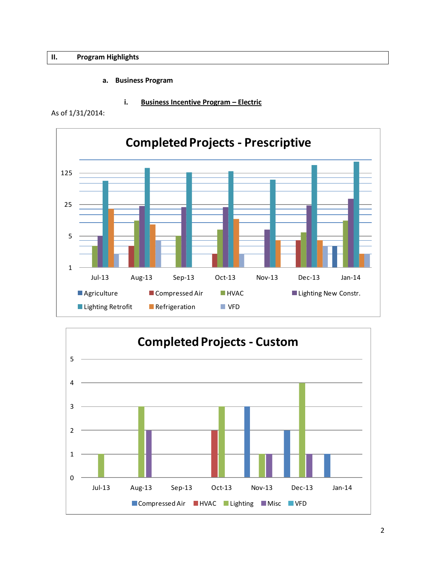#### **II. Program Highlights**

#### **a. Business Program**

**i. Business Incentive Program – Electric**

As of 1/31/2014:



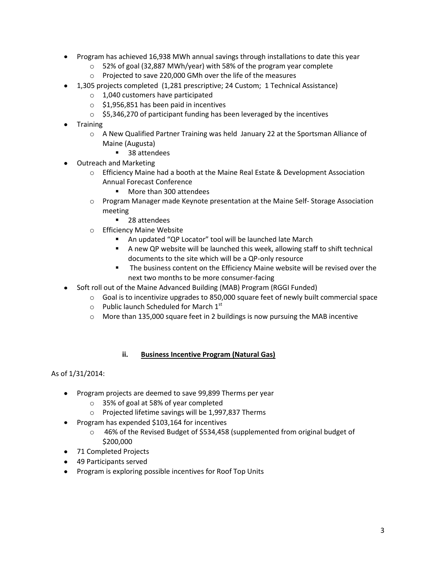- Program has achieved 16,938 MWh annual savings through installations to date this year
	- o 52% of goal (32,887 MWh/year) with 58% of the program year complete
	- o Projected to save 220,000 GMh over the life of the measures
- 1,305 projects completed (1,281 prescriptive; 24 Custom; 1 Technical Assistance)
	- o 1,040 customers have participated
	- $\circ$  \$1,956,851 has been paid in incentives
	- $\circ$  \$5,346,270 of participant funding has been leveraged by the incentives
- Training
	- $\circ$  A New Qualified Partner Training was held January 22 at the Sportsman Alliance of Maine (Augusta)
		- 38 attendees
- Outreach and Marketing
	- o Efficiency Maine had a booth at the Maine Real Estate & Development Association Annual Forecast Conference
		- **More than 300 attendees**
	- o Program Manager made Keynote presentation at the Maine Self- Storage Association meeting
		- 28 attendees
	- o Efficiency Maine Website
		- An updated "QP Locator" tool will be launched late March
		- A new QP website will be launched this week, allowing staff to shift technical documents to the site which will be a QP-only resource
		- The business content on the Efficiency Maine website will be revised over the next two months to be more consumer-facing
- Soft roll out of the Maine Advanced Building (MAB) Program (RGGI Funded)
	- $\circ$  Goal is to incentivize upgrades to 850,000 square feet of newly built commercial space
	- $\circ$  Public launch Scheduled for March 1st
	- $\circ$  More than 135,000 square feet in 2 buildings is now pursuing the MAB incentive

#### **ii. Business Incentive Program (Natural Gas)**

#### As of 1/31/2014:

- Program projects are deemed to save 99,899 Therms per year
	- o 35% of goal at 58% of year completed
	- o Projected lifetime savings will be 1,997,837 Therms
- Program has expended \$103,164 for incentives
	- o 46% of the Revised Budget of \$534,458 (supplemented from original budget of \$200,000
- 71 Completed Projects
- 49 Participants served
- Program is exploring possible incentives for Roof Top Units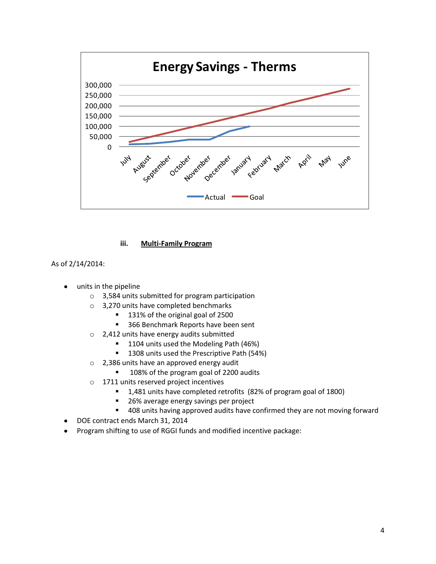

#### **iii. Multi-Family Program**

#### As of 2/14/2014:

- units in the pipeline
	- o 3,584 units submitted for program participation
	- o 3,270 units have completed benchmarks
		- 131% of the original goal of 2500
		- 366 Benchmark Reports have been sent
	- o 2,412 units have energy audits submitted
		- **1104** units used the Modeling Path (46%)
		- <sup>1</sup> 1308 units used the Prescriptive Path (54%)
	- o 2,386 units have an approved energy audit
		- 108% of the program goal of 2200 audits
	- o 1711 units reserved project incentives
		- 1,481 units have completed retrofits (82% of program goal of 1800)
		- 26% average energy savings per project
		- **408** units having approved audits have confirmed they are not moving forward
- DOE contract ends March 31, 2014
- Program shifting to use of RGGI funds and modified incentive package: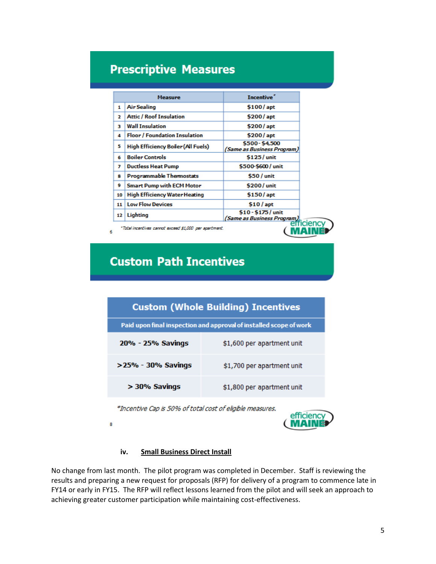# **Prescriptive Measures**

| <b>Measure</b>                                                      |                                      | <b>Incentive</b>                                  |  |
|---------------------------------------------------------------------|--------------------------------------|---------------------------------------------------|--|
| 1                                                                   | <b>Air Sealing</b>                   | \$100/apt                                         |  |
| 2                                                                   | <b>Attic / Roof Insulation</b>       | \$200/apt                                         |  |
| з                                                                   | <b>Wall Insulation</b>               | \$200/apt                                         |  |
| 4                                                                   | <b>Floor / Foundation Insulation</b> | \$200/apt                                         |  |
| 5                                                                   | High Efficiency Boiler (All Fuels)   | \$500-\$4,500<br>(Same as Business Program)       |  |
| 6                                                                   | <b>Boiler Controls</b>               | \$125/unit                                        |  |
| 7                                                                   | <b>Ductless Heat Pump</b>            | \$500-\$600 / unit                                |  |
| 8                                                                   | <b>Programmable Thermostats</b>      | \$50 / unit                                       |  |
| 9                                                                   | <b>Smart Pump with ECM Motor</b>     | \$200/unit                                        |  |
| 10                                                                  | <b>High Efficiency Water Heating</b> | \$150/apt                                         |  |
| 11                                                                  | <b>Low Flow Devices</b>              | $$10/$ apt                                        |  |
| 12                                                                  | Lighting                             | \$10 - \$175 / unit<br>(Same as Business Program) |  |
| efficienc<br>"Total incentives cannot exceed \$1,000 per apartment. |                                      |                                                   |  |

# **Custom Path Incentives**

| <b>Custom (Whole Building) Incentives</b>                          |                            |  |  |
|--------------------------------------------------------------------|----------------------------|--|--|
| Paid upon final inspection and approval of installed scope of work |                            |  |  |
| 20% - 25% Savings                                                  | \$1,600 per apartment unit |  |  |
| >25% - 30% Savings                                                 | \$1,700 per apartment unit |  |  |
| $> 30\%$ Savings                                                   | \$1,800 per apartment unit |  |  |

\*Incentive Cap is 50% of total cost of eligible measures.



#### **iv. Small Business Direct Install**

8

No change from last month. The pilot program was completed in December. Staff is reviewing the results and preparing a new request for proposals (RFP) for delivery of a program to commence late in FY14 or early in FY15. The RFP will reflect lessons learned from the pilot and will seek an approach to achieving greater customer participation while maintaining cost-effectiveness.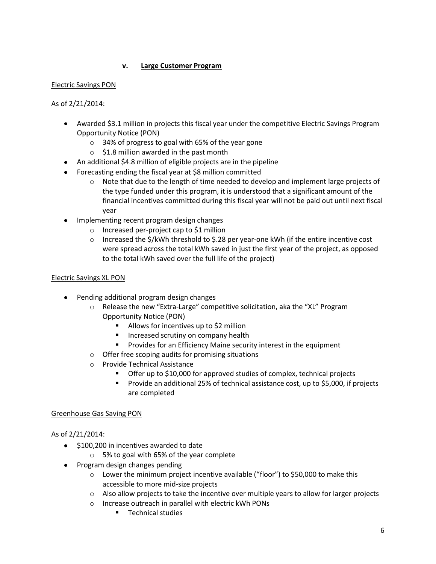#### **v. Large Customer Program**

#### Electric Savings PON

As of 2/21/2014:

- Awarded \$3.1 million in projects this fiscal year under the competitive Electric Savings Program Opportunity Notice (PON)
	- o 34% of progress to goal with 65% of the year gone
	- $\circ$  \$1.8 million awarded in the past month
- An additional \$4.8 million of eligible projects are in the pipeline
- Forecasting ending the fiscal year at \$8 million committed
	- $\circ$  Note that due to the length of time needed to develop and implement large projects of the type funded under this program, it is understood that a significant amount of the financial incentives committed during this fiscal year will not be paid out until next fiscal year
- Implementing recent program design changes
	- o Increased per-project cap to \$1 million
	- $\circ$  Increased the \$/kWh threshold to \$.28 per year-one kWh (if the entire incentive cost were spread across the total kWh saved in just the first year of the project, as opposed to the total kWh saved over the full life of the project)

#### Electric Savings XL PON

- Pending additional program design changes
	- o Release the new "Extra-Large" competitive solicitation, aka the "XL" Program Opportunity Notice (PON)
		- Allows for incentives up to \$2 million
		- **Increased scrutiny on company health**
		- Provides for an Efficiency Maine security interest in the equipment
	- o Offer free scoping audits for promising situations
	- o Provide Technical Assistance
		- Offer up to \$10,000 for approved studies of complex, technical projects
		- **Provide an additional 25% of technical assistance cost, up to \$5,000, if projects** are completed

#### Greenhouse Gas Saving PON

#### As of 2/21/2014:

- $\bullet$  \$100,200 in incentives awarded to date
	- o 5% to goal with 65% of the year complete
- Program design changes pending
	- $\circ$  Lower the minimum project incentive available ("floor") to \$50,000 to make this accessible to more mid-size projects
	- o Also allow projects to take the incentive over multiple years to allow for larger projects
	- o Increase outreach in parallel with electric kWh PONs
		- **Technical studies**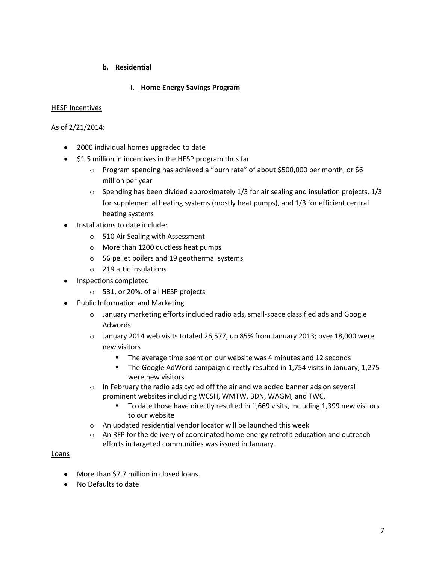#### **b. Residential**

#### **i. Home Energy Savings Program**

#### HESP Incentives

#### As of 2/21/2014:

- 2000 individual homes upgraded to date
- **•** \$1.5 million in incentives in the HESP program thus far
	- o Program spending has achieved a "burn rate" of about \$500,000 per month, or \$6 million per year
	- $\circ$  Spending has been divided approximately 1/3 for air sealing and insulation projects, 1/3 for supplemental heating systems (mostly heat pumps), and 1/3 for efficient central heating systems
- Installations to date include:
	- o 510 Air Sealing with Assessment
	- o More than 1200 ductless heat pumps
	- o 56 pellet boilers and 19 geothermal systems
	- o 219 attic insulations
- Inspections completed
	- o 531, or 20%, of all HESP projects
- Public Information and Marketing
	- o January marketing efforts included radio ads, small-space classified ads and Google Adwords
	- o January 2014 web visits totaled 26,577, up 85% from January 2013; over 18,000 were new visitors
		- The average time spent on our website was 4 minutes and 12 seconds
		- The Google AdWord campaign directly resulted in 1,754 visits in January; 1,275 were new visitors
	- o In February the radio ads cycled off the air and we added banner ads on several prominent websites including WCSH, WMTW, BDN, WAGM, and TWC.
		- To date those have directly resulted in 1,669 visits, including 1,399 new visitors to our website
	- o An updated residential vendor locator will be launched this week
	- o An RFP for the delivery of coordinated home energy retrofit education and outreach efforts in targeted communities was issued in January.

#### Loans

- More than \$7.7 million in closed loans.
- No Defaults to date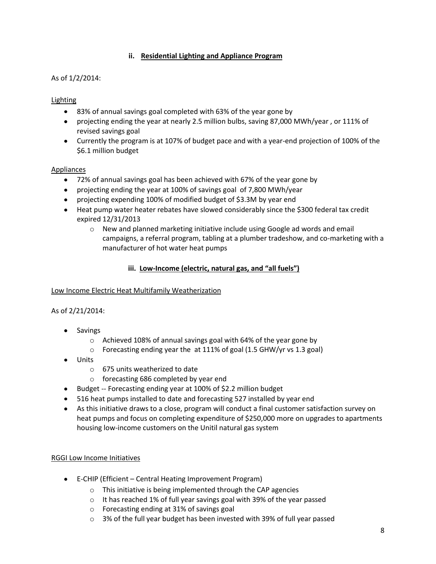#### **ii. Residential Lighting and Appliance Program**

#### As of 1/2/2014:

### Lighting

- 83% of annual savings goal completed with 63% of the year gone by
- projecting ending the year at nearly 2.5 million bulbs, saving 87,000 MWh/year , or 111% of revised savings goal
- Currently the program is at 107% of budget pace and with a year-end projection of 100% of the \$6.1 million budget

#### Appliances

- 72% of annual savings goal has been achieved with 67% of the year gone by
- projecting ending the year at 100% of savings goal of 7,800 MWh/year
- projecting expending 100% of modified budget of \$3.3M by year end
- Heat pump water heater rebates have slowed considerably since the \$300 federal tax credit expired 12/31/2013
	- $\circ$  New and planned marketing initiative include using Google ad words and email campaigns, a referral program, tabling at a plumber tradeshow, and co-marketing with a manufacturer of hot water heat pumps

#### **iii. Low-Income (electric, natural gas, and "all fuels")**

#### Low Income Electric Heat Multifamily Weatherization

#### As of 2/21/2014:

- Savings
	- o Achieved 108% of annual savings goal with 64% of the year gone by
	- $\circ$  Forecasting ending year the at 111% of goal (1.5 GHW/yr vs 1.3 goal)
- Units
	- o 675 units weatherized to date
	- o forecasting 686 completed by year end
- Budget -- Forecasting ending year at 100% of \$2.2 million budget
- 516 heat pumps installed to date and forecasting 527 installed by year end
- As this initiative draws to a close, program will conduct a final customer satisfaction survey on heat pumps and focus on completing expenditure of \$250,000 more on upgrades to apartments housing low-income customers on the Unitil natural gas system

#### RGGI Low Income Initiatives

- E-CHIP (Efficient Central Heating Improvement Program)
	- o This initiative is being implemented through the CAP agencies
	- $\circ$  It has reached 1% of full year savings goal with 39% of the year passed
	- o Forecasting ending at 31% of savings goal
	- $\circ$  3% of the full year budget has been invested with 39% of full year passed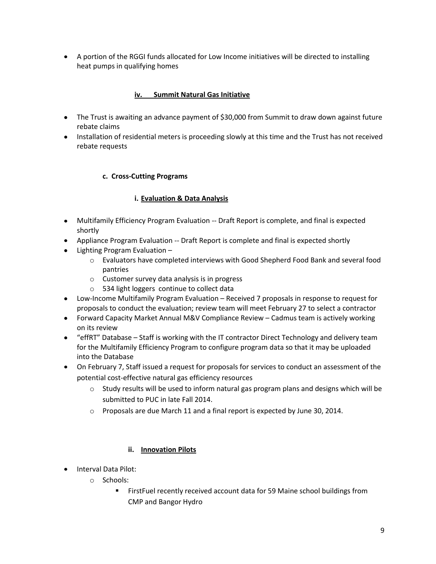A portion of the RGGI funds allocated for Low Income initiatives will be directed to installing heat pumps in qualifying homes

#### **iv. Summit Natural Gas Initiative**

- The Trust is awaiting an advance payment of \$30,000 from Summit to draw down against future rebate claims
- Installation of residential meters is proceeding slowly at this time and the Trust has not received rebate requests

#### **c. Cross-Cutting Programs**

#### **i. Evaluation & Data Analysis**

- Multifamily Efficiency Program Evaluation -- Draft Report is complete, and final is expected shortly
- Appliance Program Evaluation -- Draft Report is complete and final is expected shortly
- Lighting Program Evaluation
	- o Evaluators have completed interviews with Good Shepherd Food Bank and several food pantries
	- o Customer survey data analysis is in progress
	- o 534 light loggers continue to collect data
- Low-Income Multifamily Program Evaluation Received 7 proposals in response to request for proposals to conduct the evaluation; review team will meet February 27 to select a contractor
- Forward Capacity Market Annual M&V Compliance Review Cadmus team is actively working on its review
- "effRT" Database Staff is working with the IT contractor Direct Technology and delivery team for the Multifamily Efficiency Program to configure program data so that it may be uploaded into the Database
- On February 7, Staff issued a request for proposals for services to conduct an assessment of the potential cost-effective natural gas efficiency resources
	- $\circ$  Study results will be used to inform natural gas program plans and designs which will be submitted to PUC in late Fall 2014.
	- o Proposals are due March 11 and a final report is expected by June 30, 2014.

#### **ii. Innovation Pilots**

- Interval Data Pilot:
	- o Schools:
		- FirstFuel recently received account data for 59 Maine school buildings from CMP and Bangor Hydro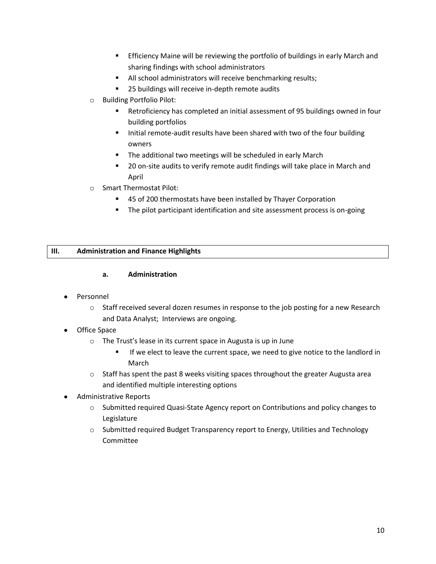- Efficiency Maine will be reviewing the portfolio of buildings in early March and sharing findings with school administrators
- All school administrators will receive benchmarking results;
- **25 buildings will receive in-depth remote audits**
- o Building Portfolio Pilot:
	- Retroficiency has completed an initial assessment of 95 buildings owned in four building portfolios
	- Initial remote-audit results have been shared with two of the four building owners
	- **The additional two meetings will be scheduled in early March**
	- **20 on-site audits to verify remote audit findings will take place in March and** April
- o Smart Thermostat Pilot:
	- 45 of 200 thermostats have been installed by Thayer Corporation
	- **The pilot participant identification and site assessment process is on-going**

#### **III. Administration and Finance Highlights**

#### **a. Administration**

- Personnel
	- o Staff received several dozen resumes in response to the job posting for a new Research and Data Analyst; Interviews are ongoing.
- Office Space
	- o The Trust's lease in its current space in Augusta is up in June
		- **If we elect to leave the current space, we need to give notice to the landlord in** March
	- $\circ$  Staff has spent the past 8 weeks visiting spaces throughout the greater Augusta area and identified multiple interesting options
- Administrative Reports
	- o Submitted required Quasi-State Agency report on Contributions and policy changes to Legislature
	- $\circ$  Submitted required Budget Transparency report to Energy, Utilities and Technology Committee